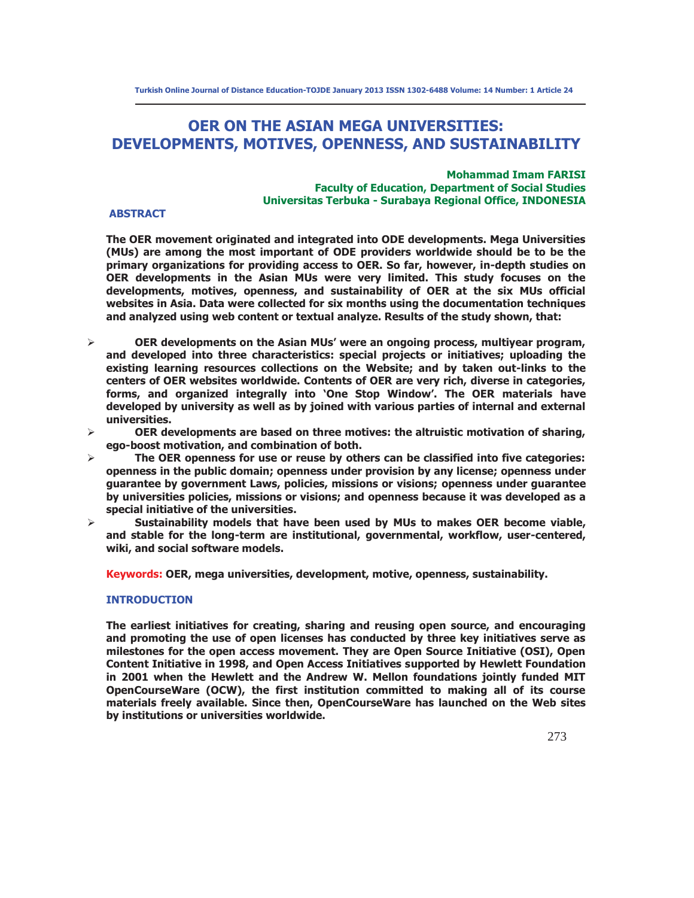# **OER ON THE ASIAN MEGA UNIVERSITIES: DEVELOPMENTS, MOTIVES, OPENNESS, AND SUSTAINABILITY**

# **Mohammad Imam FARISI Faculty of Education, Department of Social Studies Universitas Terbuka - Surabaya Regional Office, INDONESIA**

# **ABSTRACT**

**The OER movement originated and integrated into ODE developments. Mega Universities (MUs) are among the most important of ODE providers worldwide should be to be the primary organizations for providing access to OER. So far, however, in-depth studies on OER developments in the Asian MUs were very limited. This study focuses on the developments, motives, openness, and sustainability of OER at the six MUs official websites in Asia. Data were collected for six months using the documentation techniques and analyzed using web content or textual analyze. Results of the study shown, that:** 

- ¾ **OER developments on the Asian MUs' were an ongoing process, multiyear program, and developed into three characteristics: special projects or initiatives; uploading the existing learning resources collections on the Website; and by taken out-links to the centers of OER websites worldwide. Contents of OER are very rich, diverse in categories, forms, and organized integrally into 'One Stop Window'. The OER materials have developed by university as well as by joined with various parties of internal and external universities.**
- ¾ **OER developments are based on three motives: the altruistic motivation of sharing, ego-boost motivation, and combination of both.**
- ¾ **The OER openness for use or reuse by others can be classified into five categories: openness in the public domain; openness under provision by any license; openness under guarantee by government Laws, policies, missions or visions; openness under guarantee by universities policies, missions or visions; and openness because it was developed as a special initiative of the universities.**
- ¾ **Sustainability models that have been used by MUs to makes OER become viable, and stable for the long-term are institutional, governmental, workflow, user-centered, wiki, and social software models.**

**Keywords: OER, mega universities, development, motive, openness, sustainability.** 

# **INTRODUCTION**

**The earliest initiatives for creating, sharing and reusing open source, and encouraging and promoting the use of open licenses has conducted by three key initiatives serve as milestones for the open access movement. They are Open Source Initiative (OSI), Open Content Initiative in 1998, and Open Access Initiatives supported by Hewlett Foundation in 2001 when the Hewlett and the Andrew W. Mellon foundations jointly funded MIT OpenCourseWare (OCW), the first institution committed to making all of its course materials freely available. Since then, OpenCourseWare has launched on the Web sites by institutions or universities worldwide.**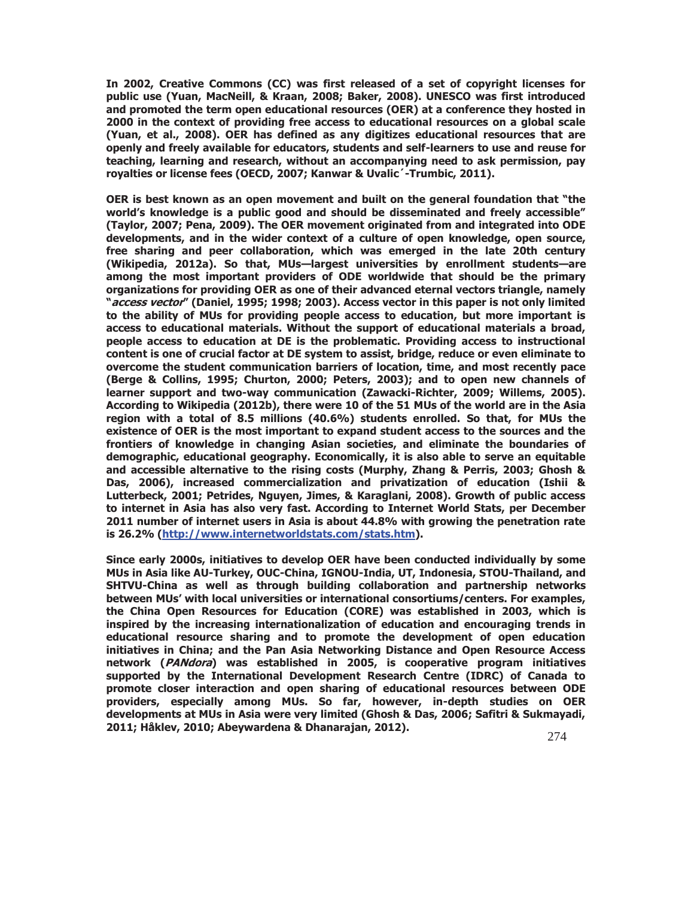**In 2002, Creative Commons (CC) was first released of a set of copyright licenses for public use (Yuan, MacNeill, & Kraan, 2008; Baker, 2008). UNESCO was first introduced and promoted the term open educational resources (OER) at a conference they hosted in 2000 in the context of providing free access to educational resources on a global scale (Yuan, et al., 2008). OER has defined as any digitizes educational resources that are openly and freely available for educators, students and self-learners to use and reuse for teaching, learning and research, without an accompanying need to ask permission, pay royalties or license fees (OECD, 2007; Kanwar & Uvalic´-Trumbic, 2011).** 

**OER is best known as an open movement and built on the general foundation that "the world's knowledge is a public good and should be disseminated and freely accessible" (Taylor, 2007; Pena, 2009). The OER movement originated from and integrated into ODE developments, and in the wider context of a culture of open knowledge, open source, free sharing and peer collaboration, which was emerged in the late 20th century (Wikipedia, 2012a). So that, MUs—largest universities by enrollment students—are among the most important providers of ODE worldwide that should be the primary organizations for providing OER as one of their advanced eternal vectors triangle, namely "access vector" (Daniel, 1995; 1998; 2003). Access vector in this paper is not only limited to the ability of MUs for providing people access to education, but more important is access to educational materials. Without the support of educational materials a broad, people access to education at DE is the problematic. Providing access to instructional content is one of crucial factor at DE system to assist, bridge, reduce or even eliminate to overcome the student communication barriers of location, time, and most recently pace (Berge & Collins, 1995; Churton, 2000; Peters, 2003); and to open new channels of learner support and two-way communication (Zawacki-Richter, 2009; Willems, 2005). According to Wikipedia (2012b), there were 10 of the 51 MUs of the world are in the Asia region with a total of 8.5 millions (40.6%) students enrolled. So that, for MUs the existence of OER is the most important to expand student access to the sources and the frontiers of knowledge in changing Asian societies, and eliminate the boundaries of demographic, educational geography. Economically, it is also able to serve an equitable and accessible alternative to the rising costs (Murphy, Zhang & Perris, 2003; Ghosh & Das, 2006), increased commercialization and privatization of education (Ishii & Lutterbeck, 2001; Petrides, Nguyen, Jimes, & Karaglani, 2008). Growth of public access to internet in Asia has also very fast. According to Internet World Stats, per December 2011 number of internet users in Asia is about 44.8% with growing the penetration rate is 26.2% (http://www.internetworldstats.com/stats.htm).** 

**Since early 2000s, initiatives to develop OER have been conducted individually by some MUs in Asia like AU-Turkey, OUC-China, IGNOU-India, UT, Indonesia, STOU-Thailand, and SHTVU-China as well as through building collaboration and partnership networks between MUs' with local universities or international consortiums/centers. For examples, the China Open Resources for Education (CORE) was established in 2003, which is inspired by the increasing internationalization of education and encouraging trends in educational resource sharing and to promote the development of open education initiatives in China; and the Pan Asia Networking Distance and Open Resource Access network (PANdora) was established in 2005, is cooperative program initiatives supported by the International Development Research Centre (IDRC) of Canada to promote closer interaction and open sharing of educational resources between ODE providers, especially among MUs. So far, however, in-depth studies on OER developments at MUs in Asia were very limited (Ghosh & Das, 2006; Safitri & Sukmayadi, 2011; Håklev, 2010; Abeywardena & Dhanarajan, 2012).**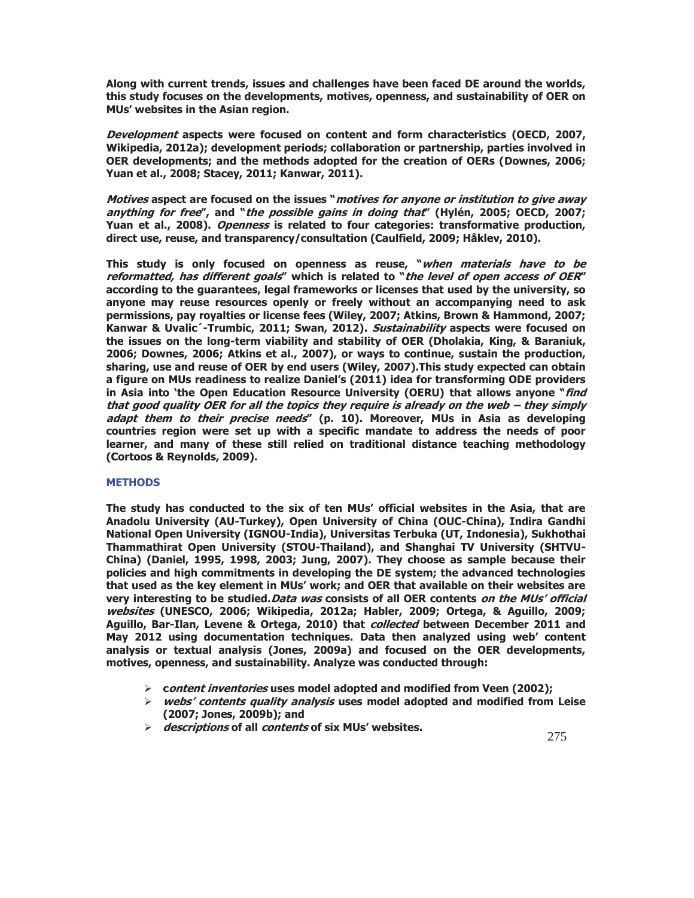**Along with current trends, issues and challenges have been faced DE around the worlds, this study focuses on the developments, motives, openness, and sustainability of OER on MUs' websites in the Asian region.** 

**Development aspects were focused on content and form characteristics (OECD, 2007, Wikipedia, 2012a); development periods; collaboration or partnership, parties involved in OER developments; and the methods adopted for the creation of OERs (Downes, 2006; Yuan et al., 2008; Stacey, 2011; Kanwar, 2011).** 

**Motives aspect are focused on the issues "motives for anyone or institution to give away anything for free", and "the possible gains in doing that" (Hylén, 2005; OECD, 2007; Yuan et al., 2008). Openness is related to four categories: transformative production, direct use, reuse, and transparency/consultation (Caulfield, 2009; Håklev, 2010).** 

**This study is only focused on openness as reuse, "when materials have to be reformatted, has different goals" which is related to "the level of open access of OER" according to the guarantees, legal frameworks or licenses that used by the university, so anyone may reuse resources openly or freely without an accompanying need to ask permissions, pay royalties or license fees (Wiley, 2007; Atkins, Brown & Hammond, 2007; Kanwar & Uvalic´-Trumbic, 2011; Swan, 2012). Sustainability aspects were focused on the issues on the long-term viability and stability of OER (Dholakia, King, & Baraniuk, 2006; Downes, 2006; Atkins et al., 2007), or ways to continue, sustain the production, sharing, use and reuse of OER by end users (Wiley, 2007).This study expected can obtain a figure on MUs readiness to realize Daniel's (2011) idea for transforming ODE providers in Asia into 'the Open Education Resource University (OERU) that allows anyone "find that good quality OER for all the topics they require is already on the web – they simply adapt them to their precise needs" (p. 10). Moreover, MUs in Asia as developing countries region were set up with a specific mandate to address the needs of poor learner, and many of these still relied on traditional distance teaching methodology (Cortoos & Reynolds, 2009).** 

# **METHODS**

**The study has conducted to the six of ten MUs' official websites in the Asia, that are Anadolu University (AU-Turkey), Open University of China (OUC-China), Indira Gandhi National Open University (IGNOU-India), Universitas Terbuka (UT, Indonesia), Sukhothai Thammathirat Open University (STOU-Thailand), and Shanghai TV University (SHTVU-China) (Daniel, 1995, 1998, 2003; Jung, 2007). They choose as sample because their policies and high commitments in developing the DE system; the advanced technologies that used as the key element in MUs' work; and OER that available on their websites are very interesting to be studied.Data was consists of all OER contents on the MUs' official websites (UNESCO, 2006; Wikipedia, 2012a; Habler, 2009; Ortega, & Aguillo, 2009; Aguillo, Bar-Ilan, Levene & Ortega, 2010) that collected between December 2011 and May 2012 using documentation techniques. Data then analyzed using web' content analysis or textual analysis (Jones, 2009a) and focused on the OER developments, motives, openness, and sustainability. Analyze was conducted through:** 

- ¾ **content inventories uses model adopted and modified from Veen (2002);**
- ¾ **webs' contents quality analysis uses model adopted and modified from Leise (2007; Jones, 2009b); and**
- ¾ **descriptions of all contents of six MUs' websites.**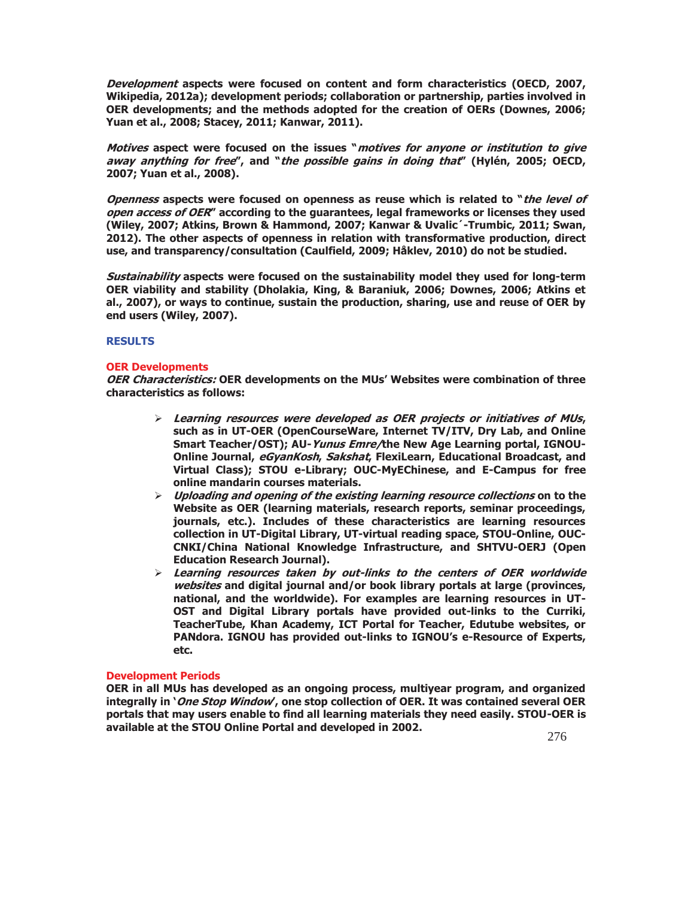**Development aspects were focused on content and form characteristics (OECD, 2007, Wikipedia, 2012a); development periods; collaboration or partnership, parties involved in OER developments; and the methods adopted for the creation of OERs (Downes, 2006; Yuan et al., 2008; Stacey, 2011; Kanwar, 2011).** 

**Motives aspect were focused on the issues "motives for anyone or institution to give away anything for free", and "the possible gains in doing that" (Hylén, 2005; OECD, 2007; Yuan et al., 2008).** 

**Openness aspects were focused on openness as reuse which is related to "the level of open access of OER" according to the guarantees, legal frameworks or licenses they used (Wiley, 2007; Atkins, Brown & Hammond, 2007; Kanwar & Uvalic´-Trumbic, 2011; Swan, 2012). The other aspects of openness in relation with transformative production, direct use, and transparency/consultation (Caulfield, 2009; Håklev, 2010) do not be studied.** 

**Sustainability aspects were focused on the sustainability model they used for long-term OER viability and stability (Dholakia, King, & Baraniuk, 2006; Downes, 2006; Atkins et al., 2007), or ways to continue, sustain the production, sharing, use and reuse of OER by end users (Wiley, 2007).** 

### **RESULTS**

### **OER Developments**

**OER Characteristics: OER developments on the MUs' Websites were combination of three characteristics as follows:** 

- ¾ **Learning resources were developed as OER projects or initiatives of MUs, such as in UT-OER (OpenCourseWare, Internet TV/ITV, Dry Lab, and Online Smart Teacher/OST); AU-Yunus Emre/the New Age Learning portal, IGNOU-Online Journal, eGyanKosh, Sakshat, FlexiLearn, Educational Broadcast, and Virtual Class); STOU e-Library; OUC-MyEChinese, and E-Campus for free online mandarin courses materials.**
- ¾ **Uploading and opening of the existing learning resource collections on to the Website as OER (learning materials, research reports, seminar proceedings, journals, etc.). Includes of these characteristics are learning resources collection in UT-Digital Library, UT-virtual reading space, STOU-Online, OUC-CNKI/China National Knowledge Infrastructure, and SHTVU-OERJ (Open Education Research Journal).**
- ¾ **Learning resources taken by out-links to the centers of OER worldwide websites and digital journal and/or book library portals at large (provinces, national, and the worldwide). For examples are learning resources in UT-OST and Digital Library portals have provided out-links to the Curriki, TeacherTube, Khan Academy, ICT Portal for Teacher, Edutube websites, or PANdora. IGNOU has provided out-links to IGNOU's e-Resource of Experts, etc.**

# **Development Periods**

**OER in all MUs has developed as an ongoing process, multiyear program, and organized integrally in 'One Stop Window', one stop collection of OER. It was contained several OER portals that may users enable to find all learning materials they need easily. STOU-OER is available at the STOU Online Portal and developed in 2002.**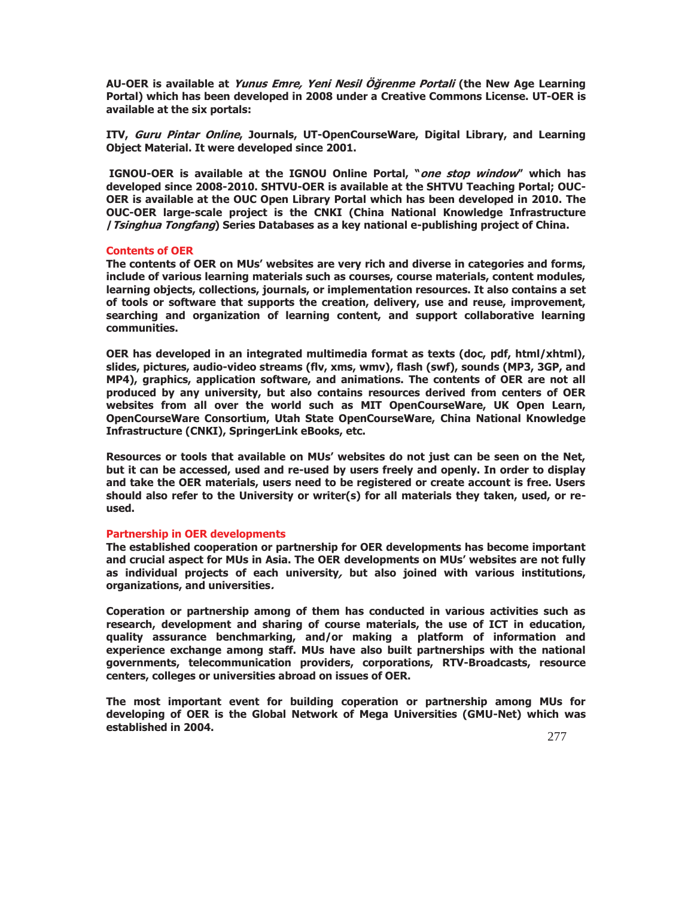**AU-OER is available at Yunus Emre, Yeni Nesil Öğrenme Portali (the New Age Learning Portal) which has been developed in 2008 under a Creative Commons License. UT-OER is available at the six portals:** 

**ITV, Guru Pintar Online, Journals, UT-OpenCourseWare, Digital Library, and Learning Object Material. It were developed since 2001.** 

 **IGNOU-OER is available at the IGNOU Online Portal, "one stop window" which has developed since 2008-2010. SHTVU-OER is available at the SHTVU Teaching Portal; OUC-OER is available at the OUC Open Library Portal which has been developed in 2010. The OUC-OER large-scale project is the CNKI (China National Knowledge Infrastructure /Tsinghua Tongfang) Series Databases as a key national e-publishing project of China.** 

#### **Contents of OER**

**The contents of OER on MUs' websites are very rich and diverse in categories and forms, include of various learning materials such as courses, course materials, content modules, learning objects, collections, journals, or implementation resources. It also contains a set of tools or software that supports the creation, delivery, use and reuse, improvement, searching and organization of learning content, and support collaborative learning communities.** 

**OER has developed in an integrated multimedia format as texts (doc, pdf, html/xhtml), slides, pictures, audio-video streams (flv, xms, wmv), flash (swf), sounds (MP3, 3GP, and MP4), graphics, application software, and animations. The contents of OER are not all produced by any university, but also contains resources derived from centers of OER websites from all over the world such as MIT OpenCourseWare, UK Open Learn, OpenCourseWare Consortium, Utah State OpenCourseWare, China National Knowledge Infrastructure (CNKI), SpringerLink eBooks, etc.** 

**Resources or tools that available on MUs' websites do not just can be seen on the Net, but it can be accessed, used and re-used by users freely and openly. In order to display and take the OER materials, users need to be registered or create account is free. Users should also refer to the University or writer(s) for all materials they taken, used, or reused.** 

#### **Partnership in OER developments**

**The established cooperation or partnership for OER developments has become important and crucial aspect for MUs in Asia. The OER developments on MUs' websites are not fully as individual projects of each university, but also joined with various institutions, organizations, and universities.** 

**Coperation or partnership among of them has conducted in various activities such as research, development and sharing of course materials, the use of ICT in education, quality assurance benchmarking, and/or making a platform of information and experience exchange among staff. MUs have also built partnerships with the national governments, telecommunication providers, corporations, RTV-Broadcasts, resource centers, colleges or universities abroad on issues of OER.** 

**The most important event for building coperation or partnership among MUs for developing of OER is the Global Network of Mega Universities (GMU-Net) which was established in 2004.**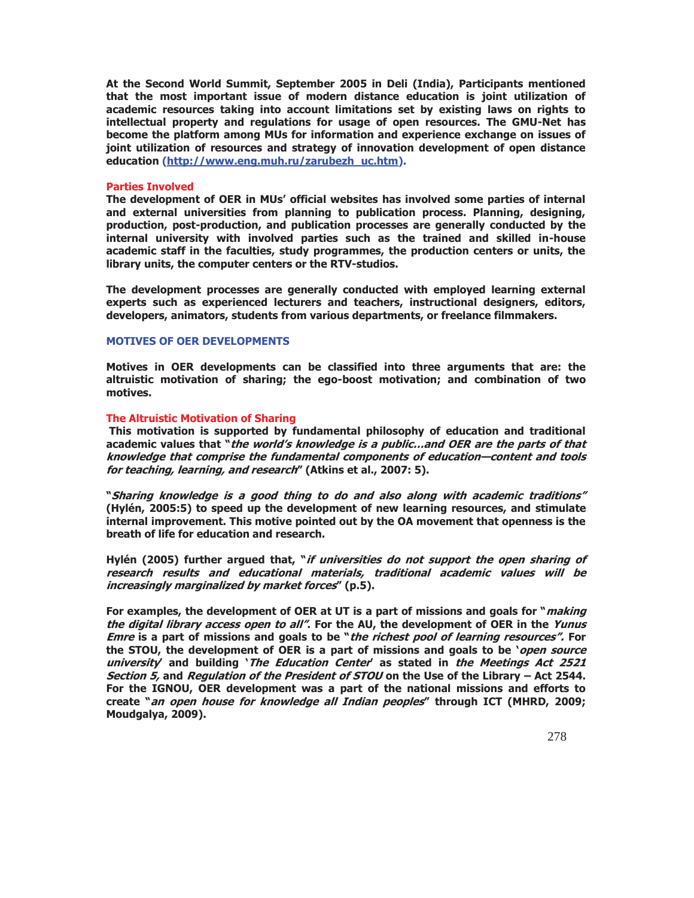**At the Second World Summit, September 2005 in Deli (India), Participants mentioned that the most important issue of modern distance education is joint utilization of academic resources taking into account limitations set by existing laws on rights to intellectual property and regulations for usage of open resources. The GMU-Net has become the platform among MUs for information and experience exchange on issues of joint utilization of resources and strategy of innovation development of open distance education (http://www.eng.muh.ru/zarubezh\_uc.htm).** 

### **Parties Involved**

**The development of OER in MUs' official websites has involved some parties of internal and external universities from planning to publication process. Planning, designing, production, post-production, and publication processes are generally conducted by the internal university with involved parties such as the trained and skilled in-house academic staff in the faculties, study programmes, the production centers or units, the library units, the computer centers or the RTV-studios.** 

**The development processes are generally conducted with employed learning external experts such as experienced lecturers and teachers, instructional designers, editors, developers, animators, students from various departments, or freelance filmmakers.** 

#### **MOTIVES OF OER DEVELOPMENTS**

**Motives in OER developments can be classified into three arguments that are: the altruistic motivation of sharing; the ego-boost motivation; and combination of two motives.** 

### **The Altruistic Motivation of Sharing**

**This motivation is supported by fundamental philosophy of education and traditional academic values that "the world's knowledge is a public…and OER are the parts of that knowledge that comprise the fundamental components of education—content and tools for teaching, learning, and research" (Atkins et al., 2007: 5).** 

**"Sharing knowledge is a good thing to do and also along with academic traditions" (Hylén, 2005:5) to speed up the development of new learning resources, and stimulate internal improvement. This motive pointed out by the OA movement that openness is the breath of life for education and research.** 

**Hylén (2005) further argued that, "if universities do not support the open sharing of research results and educational materials, traditional academic values will be increasingly marginalized by market forces" (p.5).** 

**For examples, the development of OER at UT is a part of missions and goals for "making the digital library access open to all". For the AU, the development of OER in the Yunus Emre is a part of missions and goals to be "the richest pool of learning resources". For the STOU, the development of OER is a part of missions and goals to be 'open source university' and building 'The Education Center' as stated in the Meetings Act 2521 Section 5, and Regulation of the President of STOU on the Use of the Library – Act 2544. For the IGNOU, OER development was a part of the national missions and efforts to create "an open house for knowledge all Indian peoples" through ICT (MHRD, 2009; Moudgalya, 2009).**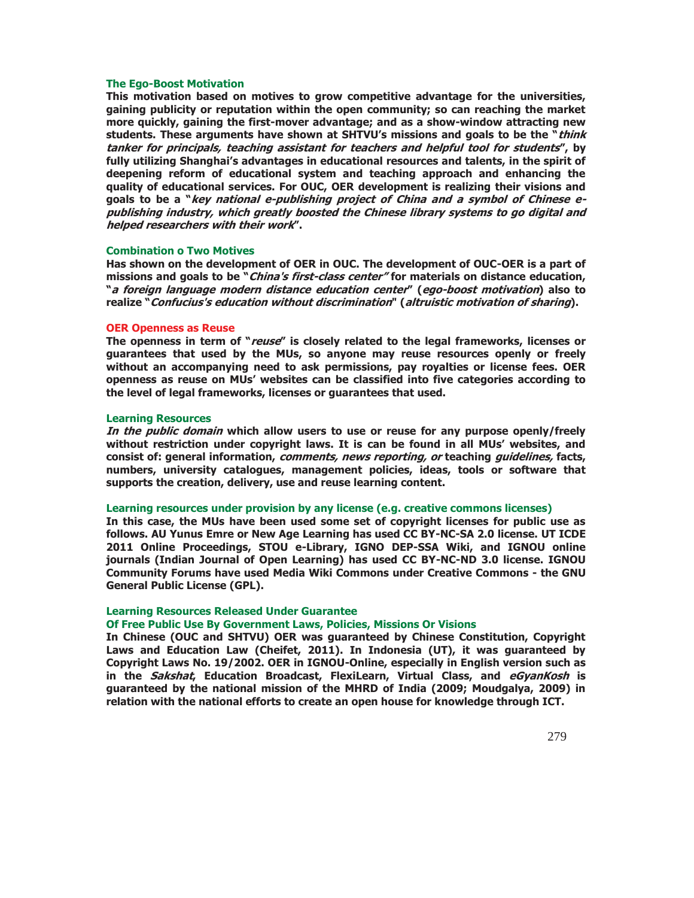#### **The Ego-Boost Motivation**

**This motivation based on motives to grow competitive advantage for the universities, gaining publicity or reputation within the open community; so can reaching the market more quickly, gaining the first-mover advantage; and as a show-window attracting new students. These arguments have shown at SHTVU's missions and goals to be the "think tanker for principals, teaching assistant for teachers and helpful tool for students", by fully utilizing Shanghai's advantages in educational resources and talents, in the spirit of deepening reform of educational system and teaching approach and enhancing the quality of educational services. For OUC, OER development is realizing their visions and goals to be a "key national e-publishing project of China and a symbol of Chinese epublishing industry, which greatly boosted the Chinese library systems to go digital and helped researchers with their work".** 

### **Combination o Two Motives**

**Has shown on the development of OER in OUC. The development of OUC-OER is a part of missions and goals to be "China's first-class center" for materials on distance education, "a foreign language modern distance education center" (ego-boost motivation) also to realize "Confucius's education without discrimination" (altruistic motivation of sharing).** 

#### **OER Openness as Reuse**

**The openness in term of "reuse" is closely related to the legal frameworks, licenses or guarantees that used by the MUs, so anyone may reuse resources openly or freely without an accompanying need to ask permissions, pay royalties or license fees. OER openness as reuse on MUs' websites can be classified into five categories according to the level of legal frameworks, licenses or guarantees that used.** 

#### **Learning Resources**

**In the public domain which allow users to use or reuse for any purpose openly/freely without restriction under copyright laws. It is can be found in all MUs' websites, and consist of: general information, comments, news reporting, or teaching guidelines, facts, numbers, university catalogues, management policies, ideas, tools or software that supports the creation, delivery, use and reuse learning content.** 

#### **Learning resources under provision by any license (e.g. creative commons licenses)**

**In this case, the MUs have been used some set of copyright licenses for public use as follows. AU Yunus Emre or New Age Learning has used CC BY-NC-SA 2.0 license. UT ICDE 2011 Online Proceedings, STOU e-Library, IGNO DEP-SSA Wiki, and IGNOU online journals (Indian Journal of Open Learning) has used CC BY-NC-ND 3.0 license. IGNOU Community Forums have used Media Wiki Commons under Creative Commons - the GNU General Public License (GPL).** 

### **Learning Resources Released Under Guarantee**

# **Of Free Public Use By Government Laws, Policies, Missions Or Visions**

**In Chinese (OUC and SHTVU) OER was guaranteed by Chinese Constitution, Copyright Laws and Education Law (Cheifet, 2011). In Indonesia (UT), it was guaranteed by Copyright Laws No. 19/2002. OER in IGNOU-Online, especially in English version such as in the Sakshat, Education Broadcast, FlexiLearn, Virtual Class, and eGyanKosh is guaranteed by the national mission of the MHRD of India (2009; Moudgalya, 2009) in relation with the national efforts to create an open house for knowledge through ICT.**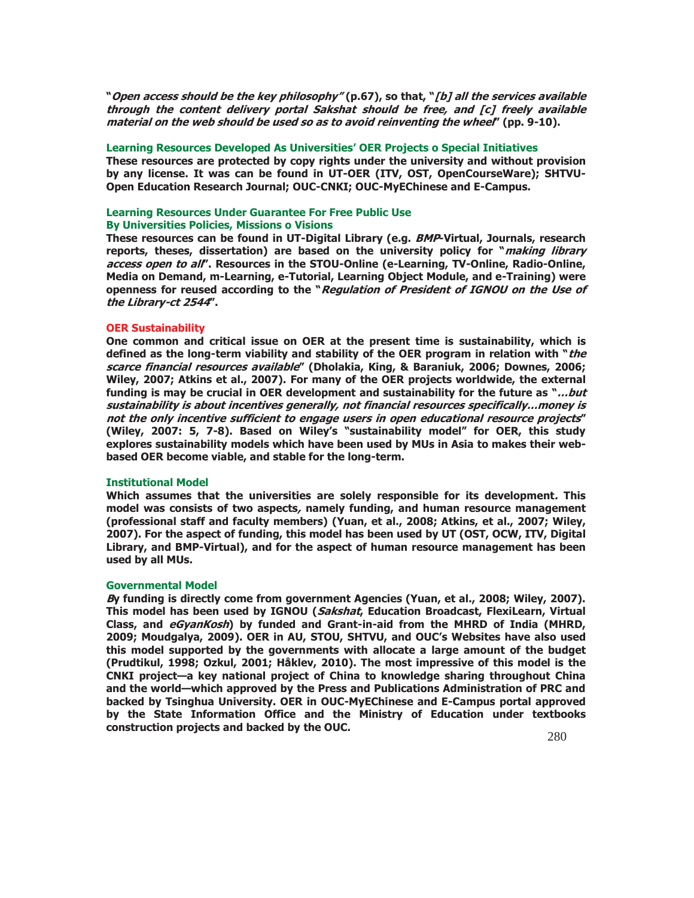**"Open access should be the key philosophy" (p.67), so that, "[b] all the services available through the content delivery portal Sakshat should be free, and [c] freely available material on the web should be used so as to avoid reinventing the wheel" (pp. 9-10).** 

#### **Learning Resources Developed As Universities' OER Projects o Special Initiatives**

**These resources are protected by copy rights under the university and without provision by any license. It was can be found in UT-OER (ITV, OST, OpenCourseWare); SHTVU-Open Education Research Journal; OUC-CNKI; OUC-MyEChinese and E-Campus.** 

# **Learning Resources Under Guarantee For Free Public Use By Universities Policies, Missions o Visions**

**These resources can be found in UT-Digital Library (e.g. BMP-Virtual, Journals, research reports, theses, dissertation) are based on the university policy for "making library access open to all". Resources in the STOU-Online (e-Learning, TV-Online, Radio-Online, Media on Demand, m-Learning, e-Tutorial, Learning Object Module, and e-Training) were openness for reused according to the "Regulation of President of IGNOU on the Use of the Library-ct 2544".** 

#### **OER Sustainability**

**One common and critical issue on OER at the present time is sustainability, which is defined as the long-term viability and stability of the OER program in relation with "the scarce financial resources available" (Dholakia, King, & Baraniuk, 2006; Downes, 2006; Wiley, 2007; Atkins et al., 2007). For many of the OER projects worldwide, the external funding is may be crucial in OER development and sustainability for the future as "…but sustainability is about incentives generally, not financial resources specifically…money is not the only incentive sufficient to engage users in open educational resource projects" (Wiley, 2007: 5, 7-8). Based on Wiley's "sustainability model" for OER, this study explores sustainability models which have been used by MUs in Asia to makes their webbased OER become viable, and stable for the long-term.** 

### **Institutional Model**

**Which assumes that the universities are solely responsible for its development. This model was consists of two aspects, namely funding, and human resource management (professional staff and faculty members) (Yuan, et al., 2008; Atkins, et al., 2007; Wiley, 2007). For the aspect of funding, this model has been used by UT (OST, OCW, ITV, Digital Library, and BMP-Virtual), and for the aspect of human resource management has been used by all MUs.** 

### **Governmental Model**

**By funding is directly come from government Agencies (Yuan, et al., 2008; Wiley, 2007). This model has been used by IGNOU (Sakshat, Education Broadcast, FlexiLearn, Virtual Class, and eGyanKosh) by funded and Grant-in-aid from the MHRD of India (MHRD, 2009; Moudgalya, 2009). OER in AU, STOU, SHTVU, and OUC's Websites have also used this model supported by the governments with allocate a large amount of the budget (Prudtikul, 1998; Ozkul, 2001; Håklev, 2010). The most impressive of this model is the CNKI project—a key national project of China to knowledge sharing throughout China and the world—which approved by the Press and Publications Administration of PRC and backed by Tsinghua University. OER in OUC-MyEChinese and E-Campus portal approved by the State Information Office and the Ministry of Education under textbooks construction projects and backed by the OUC.**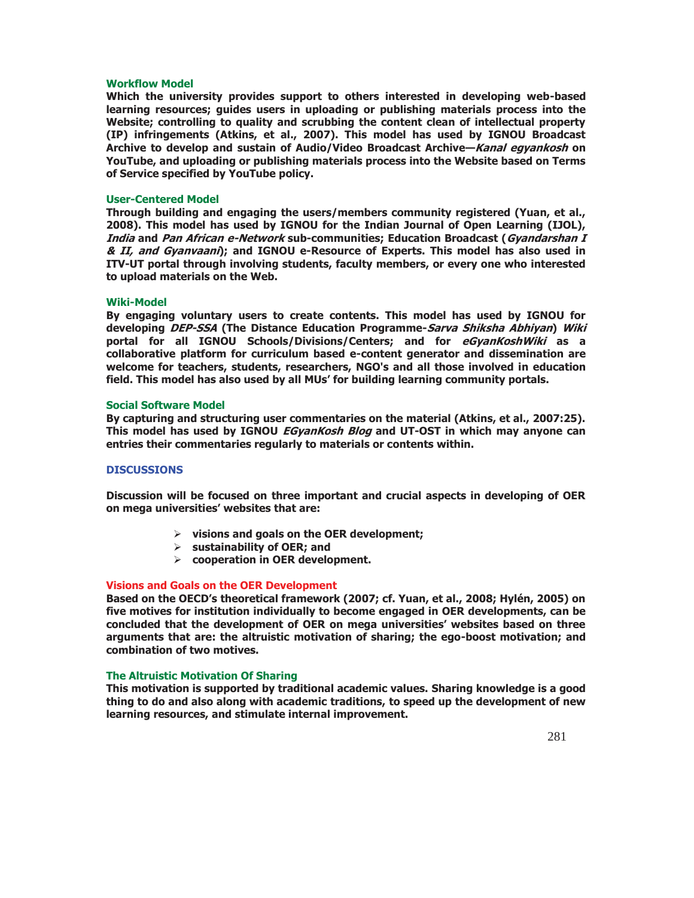### **Workflow Model**

**Which the university provides support to others interested in developing web-based learning resources; guides users in uploading or publishing materials process into the Website; controlling to quality and scrubbing the content clean of intellectual property (IP) infringements (Atkins, et al., 2007). This model has used by IGNOU Broadcast Archive to develop and sustain of Audio/Video Broadcast Archive—Kanal egyankosh on YouTube, and uploading or publishing materials process into the Website based on Terms of Service specified by YouTube policy.** 

### **User-Centered Model**

**Through building and engaging the users/members community registered (Yuan, et al., 2008). This model has used by IGNOU for the Indian Journal of Open Learning (IJOL), India and Pan African e-Network sub-communities; Education Broadcast (Gyandarshan I & II, and Gyanvaani); and IGNOU e-Resource of Experts. This model has also used in ITV-UT portal through involving students, faculty members, or every one who interested to upload materials on the Web.** 

### **Wiki-Model**

**By engaging voluntary users to create contents. This model has used by IGNOU for developing DEP-SSA (The Distance Education Programme-Sarva Shiksha Abhiyan) Wiki portal for all IGNOU Schools/Divisions/Centers; and for eGyanKoshWiki as a collaborative platform for curriculum based e-content generator and dissemination are welcome for teachers, students, researchers, NGO's and all those involved in education field. This model has also used by all MUs' for building learning community portals.** 

### **Social Software Model**

**By capturing and structuring user commentaries on the material (Atkins, et al., 2007:25). This model has used by IGNOU EGyanKosh Blog and UT-OST in which may anyone can entries their commentaries regularly to materials or contents within.** 

# **DISCUSSIONS**

**Discussion will be focused on three important and crucial aspects in developing of OER on mega universities' websites that are:** 

- ¾ **visions and goals on the OER development;**
- ¾ **sustainability of OER; and**
- ¾ **cooperation in OER development.**

# **Visions and Goals on the OER Development**

**Based on the OECD's theoretical framework (2007; cf. Yuan, et al., 2008; Hylén, 2005) on five motives for institution individually to become engaged in OER developments, can be concluded that the development of OER on mega universities' websites based on three arguments that are: the altruistic motivation of sharing; the ego-boost motivation; and combination of two motives.** 

### **The Altruistic Motivation Of Sharing**

**This motivation is supported by traditional academic values. Sharing knowledge is a good thing to do and also along with academic traditions, to speed up the development of new learning resources, and stimulate internal improvement.**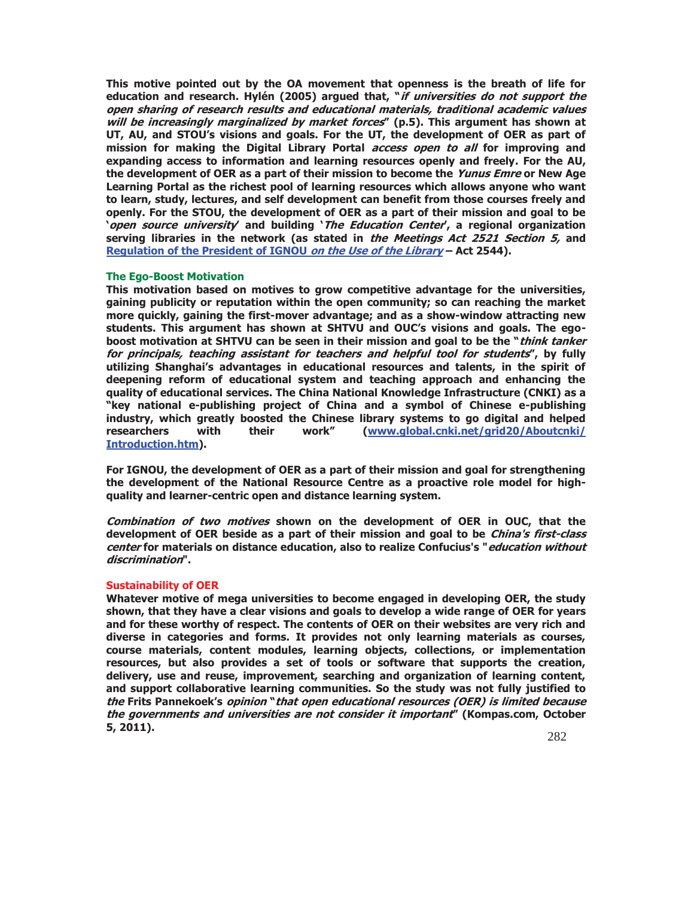**This motive pointed out by the OA movement that openness is the breath of life for education and research. Hylén (2005) argued that, "if universities do not support the open sharing of research results and educational materials, traditional academic values will be increasingly marginalized by market forces" (p.5). This argument has shown at UT, AU, and STOU's visions and goals. For the UT, the development of OER as part of mission for making the Digital Library Portal access open to all for improving and expanding access to information and learning resources openly and freely. For the AU, the development of OER as a part of their mission to become the Yunus Emre or New Age Learning Portal as the richest pool of learning resources which allows anyone who want to learn, study, lectures, and self development can benefit from those courses freely and openly. For the STOU, the development of OER as a part of their mission and goal to be 'open source university' and building 'The Education Center', a regional organization serving libraries in the network (as stated in the Meetings Act 2521 Section 5, and Regulation of the President of IGNOU on the Use of the Library – Act 2544).** 

### **The Ego-Boost Motivation**

**This motivation based on motives to grow competitive advantage for the universities, gaining publicity or reputation within the open community; so can reaching the market more quickly, gaining the first-mover advantage; and as a show-window attracting new students. This argument has shown at SHTVU and OUC's visions and goals. The egoboost motivation at SHTVU can be seen in their mission and goal to be the "think tanker for principals, teaching assistant for teachers and helpful tool for students", by fully utilizing Shanghai's advantages in educational resources and talents, in the spirit of deepening reform of educational system and teaching approach and enhancing the quality of educational services. The China National Knowledge Infrastructure (CNKI) as a "key national e-publishing project of China and a symbol of Chinese e-publishing industry, which greatly boosted the Chinese library systems to go digital and helped researchers with their work" (www.global.cnki.net/grid20/Aboutcnki/ Introduction.htm).** 

**For IGNOU, the development of OER as a part of their mission and goal for strengthening the development of the National Resource Centre as a proactive role model for highquality and learner-centric open and distance learning system.** 

**Combination of two motives shown on the development of OER in OUC, that the development of OER beside as a part of their mission and goal to be China's first-class center for materials on distance education, also to realize Confucius's "education without discrimination".** 

### **Sustainability of OER**

**Whatever motive of mega universities to become engaged in developing OER, the study shown, that they have a clear visions and goals to develop a wide range of OER for years and for these worthy of respect. The contents of OER on their websites are very rich and diverse in categories and forms. It provides not only learning materials as courses, course materials, content modules, learning objects, collections, or implementation resources, but also provides a set of tools or software that supports the creation, delivery, use and reuse, improvement, searching and organization of learning content, and support collaborative learning communities. So the study was not fully justified to the Frits Pannekoek's opinion "that open educational resources (OER) is limited because the governments and universities are not consider it important" (Kompas.com, October 5, 2011).**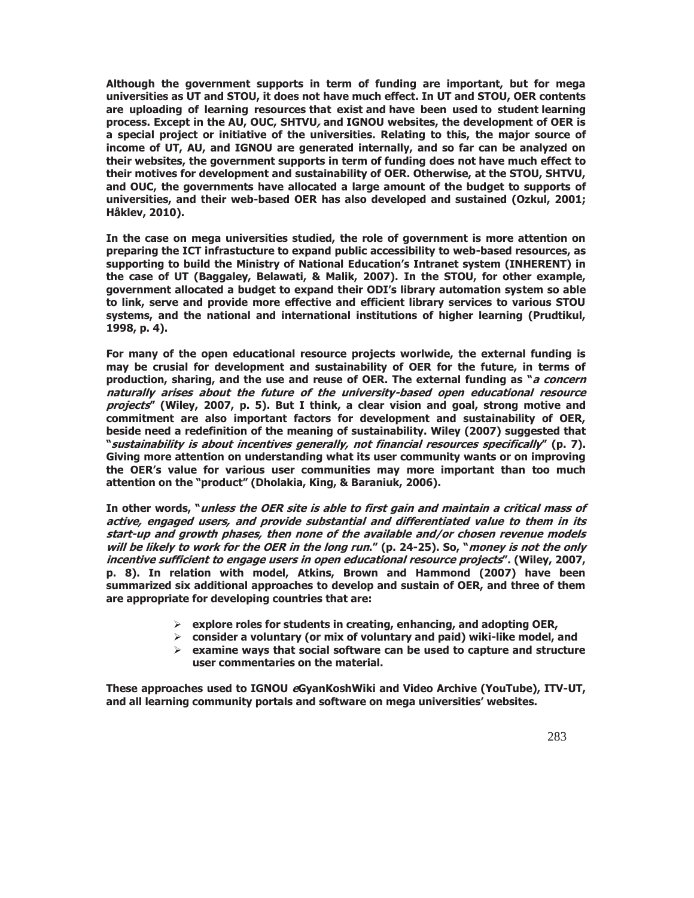**Although the government supports in term of funding are important, but for mega universities as UT and STOU, it does not have much effect. In UT and STOU, OER contents are uploading of learning resources that exist and have been used to student learning process. Except in the AU, OUC, SHTVU, and IGNOU websites, the development of OER is a special project or initiative of the universities. Relating to this, the major source of income of UT, AU, and IGNOU are generated internally, and so far can be analyzed on their websites, the government supports in term of funding does not have much effect to their motives for development and sustainability of OER. Otherwise, at the STOU, SHTVU, and OUC, the governments have allocated a large amount of the budget to supports of universities, and their web-based OER has also developed and sustained (Ozkul, 2001; Håklev, 2010).** 

**In the case on mega universities studied, the role of government is more attention on preparing the ICT infrastucture to expand public accessibility to web-based resources, as supporting to build the Ministry of National Education's Intranet system (INHERENT) in the case of UT (Baggaley, Belawati, & Malik, 2007). In the STOU, for other example, government allocated a budget to expand their ODI's library automation system so able to link, serve and provide more effective and efficient library services to various STOU systems, and the national and international institutions of higher learning (Prudtikul, 1998, p. 4).** 

**For many of the open educational resource projects worlwide, the external funding is may be crusial for development and sustainability of OER for the future, in terms of production, sharing, and the use and reuse of OER. The external funding as "a concern naturally arises about the future of the university-based open educational resource projects" (Wiley, 2007, p. 5). But I think, a clear vision and goal, strong motive and commitment are also important factors for development and sustainability of OER, beside need a redefinition of the meaning of sustainability. Wiley (2007) suggested that "sustainability is about incentives generally, not financial resources specifically" (p. 7). Giving more attention on understanding what its user community wants or on improving the OER's value for various user communities may more important than too much attention on the "product" (Dholakia, King, & Baraniuk, 2006).** 

**In other words, "unless the OER site is able to first gain and maintain a critical mass of active, engaged users, and provide substantial and differentiated value to them in its start-up and growth phases, then none of the available and/or chosen revenue models will be likely to work for the OER in the long run." (p. 24-25). So, "money is not the only incentive sufficient to engage users in open educational resource projects". (Wiley, 2007, p. 8). In relation with model, Atkins, Brown and Hammond (2007) have been summarized six additional approaches to develop and sustain of OER, and three of them are appropriate for developing countries that are:** 

- ¾ **explore roles for students in creating, enhancing, and adopting OER,**
- ¾ **consider a voluntary (or mix of voluntary and paid) wiki-like model, and**
- ¾ **examine ways that social software can be used to capture and structure user commentaries on the material.**

**These approaches used to IGNOU eGyanKoshWiki and Video Archive (YouTube), ITV-UT, and all learning community portals and software on mega universities' websites.**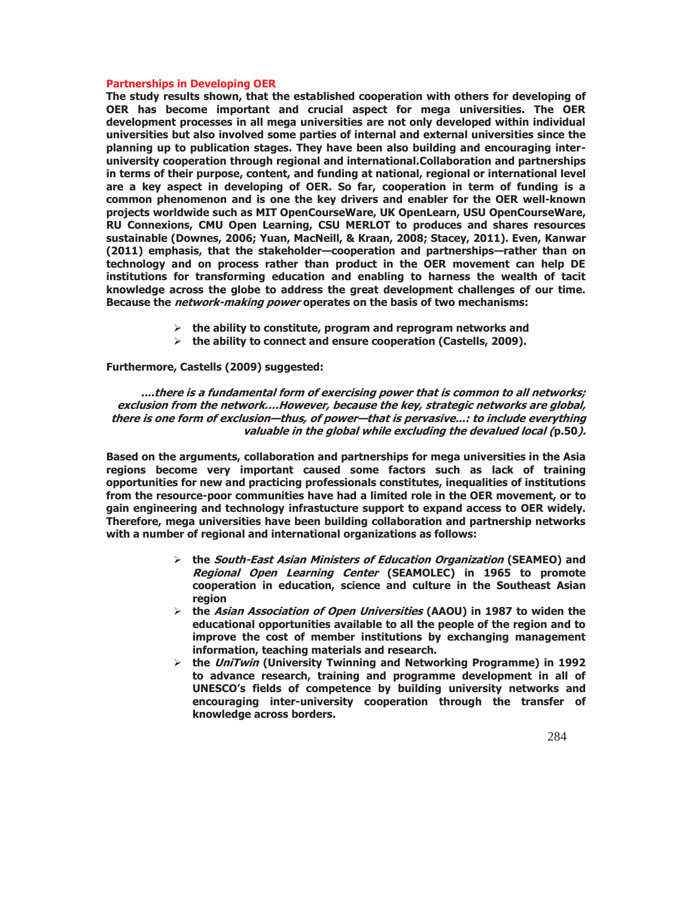### **Partnerships in Developing OER**

**The study results shown, that the established cooperation with others for developing of OER has become important and crucial aspect for mega universities. The OER development processes in all mega universities are not only developed within individual universities but also involved some parties of internal and external universities since the planning up to publication stages. They have been also building and encouraging interuniversity cooperation through regional and international.Collaboration and partnerships in terms of their purpose, content, and funding at national, regional or international level are a key aspect in developing of OER. So far, cooperation in term of funding is a common phenomenon and is one the key drivers and enabler for the OER well-known projects worldwide such as MIT OpenCourseWare, UK OpenLearn, USU OpenCourseWare, RU Connexions, CMU Open Learning, CSU MERLOT to produces and shares resources sustainable (Downes, 2006; Yuan, MacNeill, & Kraan, 2008; Stacey, 2011). Even, Kanwar (2011) emphasis, that the stakeholder—cooperation and partnerships—rather than on technology and on process rather than product in the OER movement can help DE institutions for transforming education and enabling to harness the wealth of tacit knowledge across the globe to address the great development challenges of our time. Because the network-making power operates on the basis of two mechanisms:** 

- ¾ **the ability to constitute, program and reprogram networks and**
- ¾ **the ability to connect and ensure cooperation (Castells, 2009).**

# **Furthermore, Castells (2009) suggested:**

**....there is a fundamental form of exercising power that is common to all networks; exclusion from the network….However, because the key, strategic networks are global, there is one form of exclusion—thus, of power—that is pervasive...: to include everything valuable in the global while excluding the devalued local (p.50).** 

**Based on the arguments, collaboration and partnerships for mega universities in the Asia regions become very important caused some factors such as lack of training opportunities for new and practicing professionals constitutes, inequalities of institutions from the resource-poor communities have had a limited role in the OER movement, or to gain engineering and technology infrastucture support to expand access to OER widely. Therefore, mega universities have been building collaboration and partnership networks with a number of regional and international organizations as follows:** 

- ¾ **the South-East Asian Ministers of Education Organization (SEAMEO) and Regional Open Learning Center (SEAMOLEC) in 1965 to promote cooperation in education, science and culture in the Southeast Asian region**
- ¾ **the Asian Association of Open Universities (AAOU) in 1987 to widen the educational opportunities available to all the people of the region and to improve the cost of member institutions by exchanging management information, teaching materials and research.**
- ¾ **the UniTwin (University Twinning and Networking Programme) in 1992 to advance research, training and programme development in all of UNESCO's fields of competence by building university networks and encouraging inter-university cooperation through the transfer of knowledge across borders.**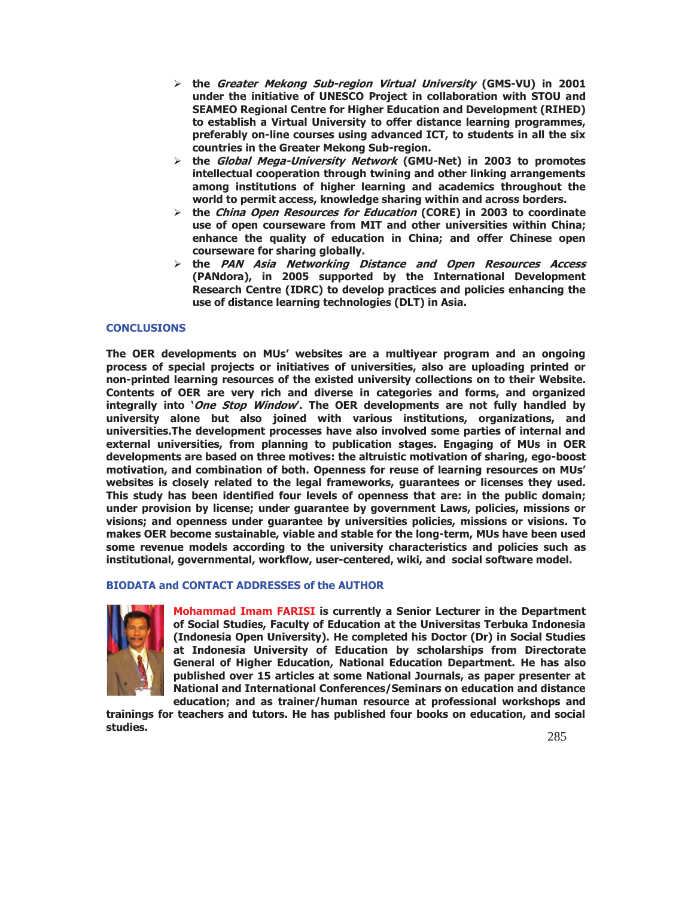- ¾ **the Greater Mekong Sub-region Virtual University (GMS-VU) in 2001 under the initiative of UNESCO Project in collaboration with STOU and SEAMEO Regional Centre for Higher Education and Development (RIHED) to establish a Virtual University to offer distance learning programmes, preferably on-line courses using advanced ICT, to students in all the six countries in the Greater Mekong Sub-region.**
- ¾ **the Global Mega-University Network (GMU-Net) in 2003 to promotes intellectual cooperation through twining and other linking arrangements among institutions of higher learning and academics throughout the world to permit access, knowledge sharing within and across borders.**
- ¾ **the China Open Resources for Education (CORE) in 2003 to coordinate use of open courseware from MIT and other universities within China; enhance the quality of education in China; and offer Chinese open courseware for sharing globally.**
- ¾ **the PAN Asia Networking Distance and Open Resources Access (PANdora), in 2005 supported by the International Development Research Centre (IDRC) to develop practices and policies enhancing the use of distance learning technologies (DLT) in Asia.**

# **CONCLUSIONS**

**The OER developments on MUs' websites are a multiyear program and an ongoing process of special projects or initiatives of universities, also are uploading printed or non-printed learning resources of the existed university collections on to their Website. Contents of OER are very rich and diverse in categories and forms, and organized integrally into 'One Stop Window'. The OER developments are not fully handled by university alone but also joined with various institutions, organizations, and universities.The development processes have also involved some parties of internal and external universities, from planning to publication stages. Engaging of MUs in OER developments are based on three motives: the altruistic motivation of sharing, ego-boost motivation, and combination of both. Openness for reuse of learning resources on MUs' websites is closely related to the legal frameworks, guarantees or licenses they used. This study has been identified four levels of openness that are: in the public domain; under provision by license; under guarantee by government Laws, policies, missions or visions; and openness under guarantee by universities policies, missions or visions. To makes OER become sustainable, viable and stable for the long-term, MUs have been used some revenue models according to the university characteristics and policies such as institutional, governmental, workflow, user-centered, wiki, and social software model.** 

# **BIODATA and CONTACT ADDRESSES of the AUTHOR**



**Mohammad Imam FARISI is currently a Senior Lecturer in the Department of Social Studies, Faculty of Education at the Universitas Terbuka Indonesia (Indonesia Open University). He completed his Doctor (Dr) in Social Studies at Indonesia University of Education by scholarships from Directorate General of Higher Education, National Education Department. He has also published over 15 articles at some National Journals, as paper presenter at National and International Conferences/Seminars on education and distance education; and as trainer/human resource at professional workshops and** 

**trainings for teachers and tutors. He has published four books on education, and social studies.**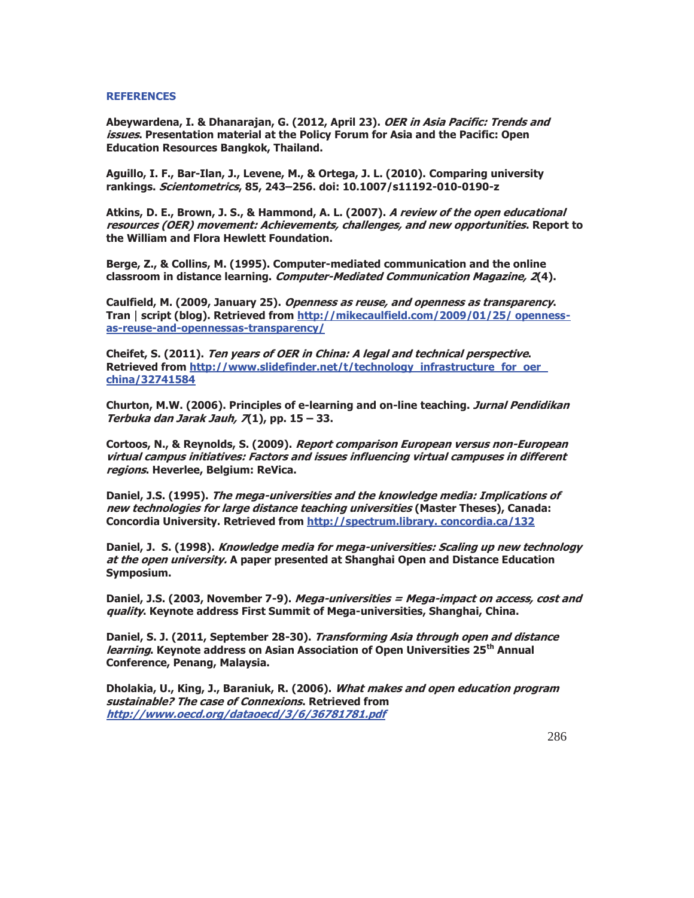### **REFERENCES**

**Abeywardena, I. & Dhanarajan, G. (2012, April 23). OER in Asia Pacific: Trends and issues. Presentation material at the Policy Forum for Asia and the Pacific: Open Education Resources Bangkok, Thailand.** 

**Aguillo, I. F., Bar-Ilan, J., Levene, M., & Ortega, J. L. (2010). Comparing university rankings. Scientometrics, 85, 243–256. doi: 10.1007/s11192-010-0190-z** 

**Atkins, D. E., Brown, J. S., & Hammond, A. L. (2007). A review of the open educational resources (OER) movement: Achievements, challenges, and new opportunities. Report to the William and Flora Hewlett Foundation.** 

**Berge, Z., & Collins, M. (1995). Computer-mediated communication and the online classroom in distance learning. Computer-Mediated Communication Magazine, 2(4).** 

**Caulfield, M. (2009, January 25). Openness as reuse, and openness as transparency. Tran**\_**script (blog). Retrieved from http://mikecaulfield.com/2009/01/25/ opennessas-reuse-and-opennessas-transparency/** 

**Cheifet, S. (2011). Ten years of OER in China: A legal and technical perspective. Retrieved from http://www.slidefinder.net/t/technology\_infrastructure\_for\_oer\_ china/32741584** 

**Churton, M.W. (2006). Principles of e-learning and on-line teaching. Jurnal Pendidikan Terbuka dan Jarak Jauh, 7(1), pp. 15 – 33.** 

**Cortoos, N., & Reynolds, S. (2009). Report comparison European versus non-European virtual campus initiatives: Factors and issues influencing virtual campuses in different regions. Heverlee, Belgium: ReVica.** 

**Daniel, J.S. (1995). The mega-universities and the knowledge media: Implications of new technologies for large distance teaching universities (Master Theses), Canada: Concordia University. Retrieved from http://spectrum.library. concordia.ca/132** 

**Daniel, J. S. (1998). Knowledge media for mega-universities: Scaling up new technology at the open university. A paper presented at Shanghai Open and Distance Education Symposium.** 

**Daniel, J.S. (2003, November 7-9). Mega-universities = Mega-impact on access, cost and quality. Keynote address First Summit of Mega-universities, Shanghai, China.** 

**Daniel, S. J. (2011, September 28-30). Transforming Asia through open and distance learning. Keynote address on Asian Association of Open Universities 25th Annual Conference, Penang, Malaysia.** 

**Dholakia, U., King, J., Baraniuk, R. (2006). What makes and open education program sustainable? The case of Connexions. Retrieved from http://www.oecd.org/dataoecd/3/6/36781781.pdf**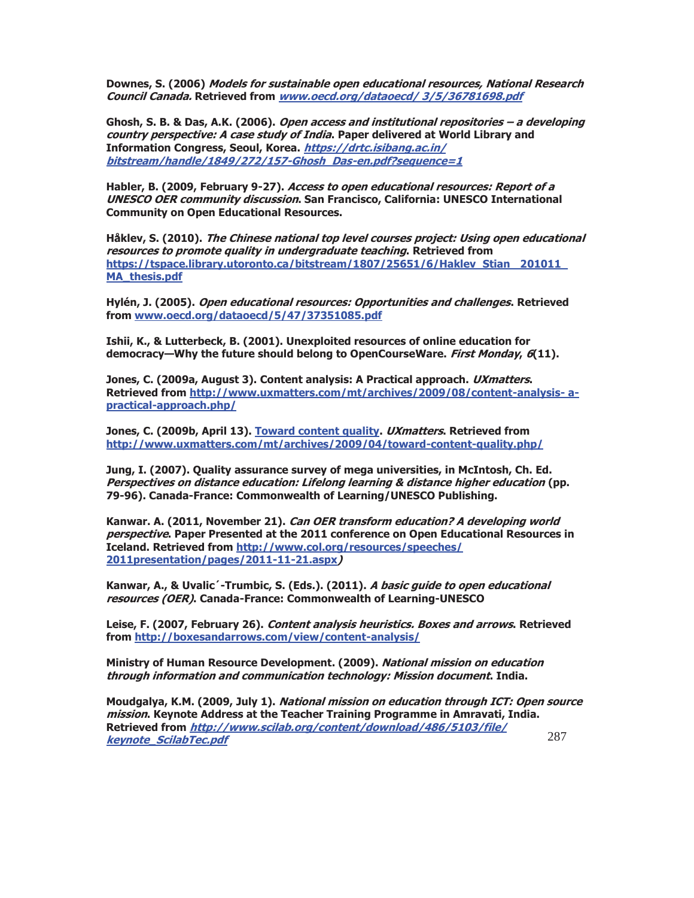**Downes, S. (2006) Models for sustainable open educational resources, National Research Council Canada. Retrieved from www.oecd.org/dataoecd/ 3/5/36781698.pdf** 

**Ghosh, S. B. & Das, A.K. (2006). Open access and institutional repositories – a developing country perspective: A case study of India. Paper delivered at World Library and Information Congress, Seoul, Korea. https://drtc.isibang.ac.in/ bitstream/handle/1849/272/157-Ghosh\_Das-en.pdf?sequence=1** 

**Habler, B. (2009, February 9-27). Access to open educational resources: Report of a UNESCO OER community discussion. San Francisco, California: UNESCO International Community on Open Educational Resources.** 

**Håklev, S. (2010). The Chinese national top level courses project: Using open educational resources to promote quality in undergraduate teaching. Retrieved from https://tspace.library.utoronto.ca/bitstream/1807/25651/6/Haklev\_Stian\_ 201011\_ MA\_thesis.pdf**

**Hylén, J. (2005). Open educational resources: Opportunities and challenges. Retrieved from www.oecd.org/dataoecd/5/47/37351085.pdf** 

**Ishii, K., & Lutterbeck, B. (2001). Unexploited resources of online education for democracy—Why the future should belong to OpenCourseWare. First Monday, 6(11).** 

**Jones, C. (2009a, August 3). Content analysis: A Practical approach. UXmatters. Retrieved from http://www.uxmatters.com/mt/archives/2009/08/content-analysis- apractical-approach.php/** 

**Jones, C. (2009b, April 13). Toward content quality. UXmatters. Retrieved from http://www.uxmatters.com/mt/archives/2009/04/toward-content-quality.php/** 

**Jung, I. (2007). Quality assurance survey of mega universities, in McIntosh, Ch. Ed. Perspectives on distance education: Lifelong learning & distance higher education (pp. 79-96). Canada-France: Commonwealth of Learning/UNESCO Publishing.** 

**Kanwar. A. (2011, November 21). Can OER transform education? A developing world perspective. Paper Presented at the 2011 conference on Open Educational Resources in Iceland. Retrieved from http://www.col.org/resources/speeches/ 2011presentation/pages/2011-11-21.aspx)** 

**Kanwar, A., & Uvalic´-Trumbic, S. (Eds.). (2011). A basic guide to open educational resources (OER). Canada-France: Commonwealth of Learning-UNESCO** 

**Leise, F. (2007, February 26). Content analysis heuristics. Boxes and arrows. Retrieved from http://boxesandarrows.com/view/content-analysis/** 

**Ministry of Human Resource Development. (2009). National mission on education through information and communication technology: Mission document. India.** 

287 **Moudgalya, K.M. (2009, July 1). National mission on education through ICT: Open source mission. Keynote Address at the Teacher Training Programme in Amravati, India. Retrieved from http://www.scilab.org/content/download/486/5103/file/ keynote\_ScilabTec.pdf**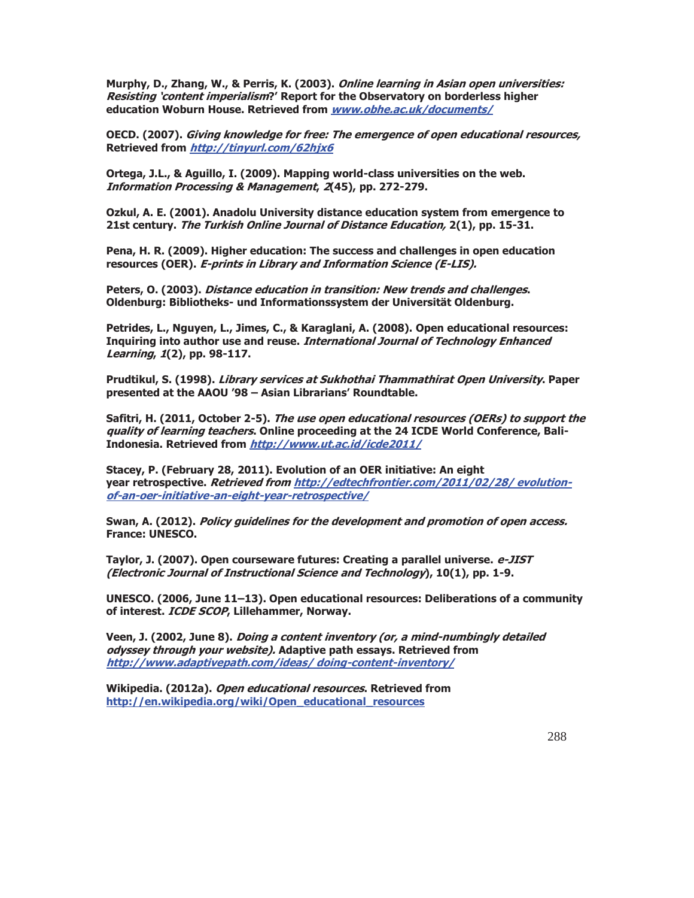**Murphy, D., Zhang, W., & Perris, K. (2003). Online learning in Asian open universities: Resisting 'content imperialism?' Report for the Observatory on borderless higher education Woburn House. Retrieved from www.obhe.ac.uk/documents/** 

**OECD. (2007). Giving knowledge for free: The emergence of open educational resources, Retrieved from http://tinyurl.com/62hjx6** 

**Ortega, J.L., & Aguillo, I. (2009). Mapping world-class universities on the web. Information Processing & Management, 2(45), pp. 272-279.** 

**Ozkul, A. E. (2001). Anadolu University distance education system from emergence to 21st century. The Turkish Online Journal of Distance Education, 2(1), pp. 15-31.** 

**Pena, H. R. (2009). Higher education: The success and challenges in open education resources (OER). E-prints in Library and Information Science (E-LIS).** 

**Peters, O. (2003). Distance education in transition: New trends and challenges. Oldenburg: Bibliotheks- und Informationssystem der Universität Oldenburg.** 

**Petrides, L., Nguyen, L., Jimes, C., & Karaglani, A. (2008). Open educational resources: Inquiring into author use and reuse. International Journal of Technology Enhanced Learning, 1(2), pp. 98-117.** 

**Prudtikul, S. (1998). Library services at Sukhothai Thammathirat Open University. Paper presented at the AAOU '98 – Asian Librarians' Roundtable.** 

**Safitri, H. (2011, October 2-5). The use open educational resources (OERs) to support the quality of learning teachers. Online proceeding at the 24 ICDE World Conference, Bali-Indonesia. Retrieved from http://www.ut.ac.id/icde2011/** 

**Stacey, P. (February 28, 2011). Evolution of an OER initiative: An eight year retrospective. Retrieved from http://edtechfrontier.com/2011/02/28/ evolutionof-an-oer-initiative-an-eight-year-retrospective/** 

**Swan, A. (2012). Policy guidelines for the development and promotion of open access. France: UNESCO.** 

**Taylor, J. (2007). Open courseware futures: Creating a parallel universe. e-JIST (Electronic Journal of Instructional Science and Technology), 10(1), pp. 1-9.** 

**UNESCO. (2006, June 11–13). Open educational resources: Deliberations of a community of interest. ICDE SCOP, Lillehammer, Norway.** 

**Veen, J. (2002, June 8). Doing a content inventory (or, a mind-numbingly detailed odyssey through your website). Adaptive path essays. Retrieved from http://www.adaptivepath.com/ideas/ doing-content-inventory/** 

**Wikipedia. (2012a). Open educational resources. Retrieved from http://en.wikipedia.org/wiki/Open\_educational\_resources**